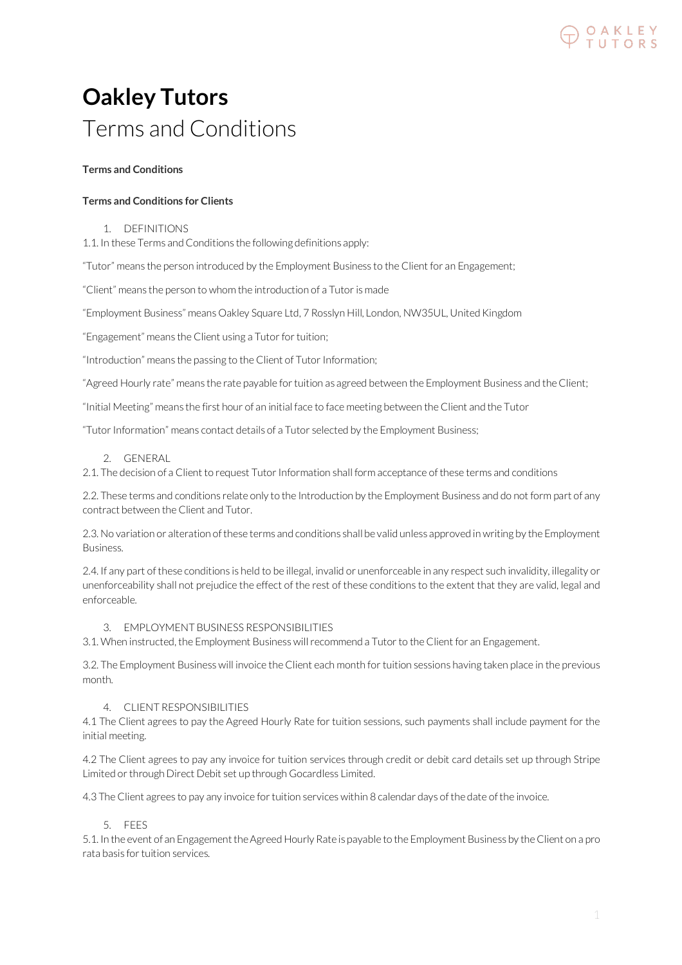

## **Oakley Tutors** Terms and Conditions

## **Terms and Conditions**

## **Terms and Conditions for Clients**

#### 1. DEFINITIONS

1.1. In these Terms and Conditions the following definitions apply:

"Tutor" means the person introduced by the Employment Business to the Client for an Engagement;

"Client" means the person to whom the introduction of a Tutor is made

"Employment Business" means Oakley Square Ltd, 7 Rosslyn Hill, London, NW35UL, United Kingdom

"Engagement" means the Client using a Tutor for tuition;

"Introduction" means the passing to the Client of Tutor Information;

"Agreed Hourly rate" means the rate payable for tuition as agreed between the Employment Business and the Client;

"Initial Meeting" means the first hour of an initial face to face meeting between the Client and the Tutor

"Tutor Information" means contact details of a Tutor selected by the Employment Business;

## 2. GENERAL

2.1. The decision of a Client to request Tutor Information shall form acceptance of these terms and conditions

2.2. These terms and conditions relate only to the Introduction by the Employment Business and do not form part of any contract between the Client and Tutor.

2.3. No variation or alteration of these terms and conditions shall be valid unless approved in writing by the Employment Business.

2.4. If any part of these conditions is held to be illegal, invalid or unenforceable in any respect such invalidity, illegality or unenforceability shall not prejudice the effect of the rest of these conditions to the extent that they are valid, legal and enforceable.

#### 3. EMPLOYMENT BUSINESS RESPONSIBILITIES

3.1. When instructed, the Employment Business will recommend a Tutor to the Client for an Engagement.

3.2. The Employment Business will invoice the Client each month for tuition sessions having taken place in the previous month.

#### 4. CLIENT RESPONSIBILITIES

4.1 The Client agrees to pay the Agreed Hourly Rate for tuition sessions, such payments shall include payment for the initial meeting.

4.2 The Client agrees to pay any invoice for tuition services through credit or debit card details set up through Stripe Limited or through Direct Debit set up through Gocardless Limited.

4.3 The Client agrees to pay any invoice for tuition services within 8 calendar days of the date of the invoice.

## 5. FEES

5.1. In the event of an Engagement the Agreed Hourly Rate is payable to the Employment Business by the Client on a pro rata basis for tuition services.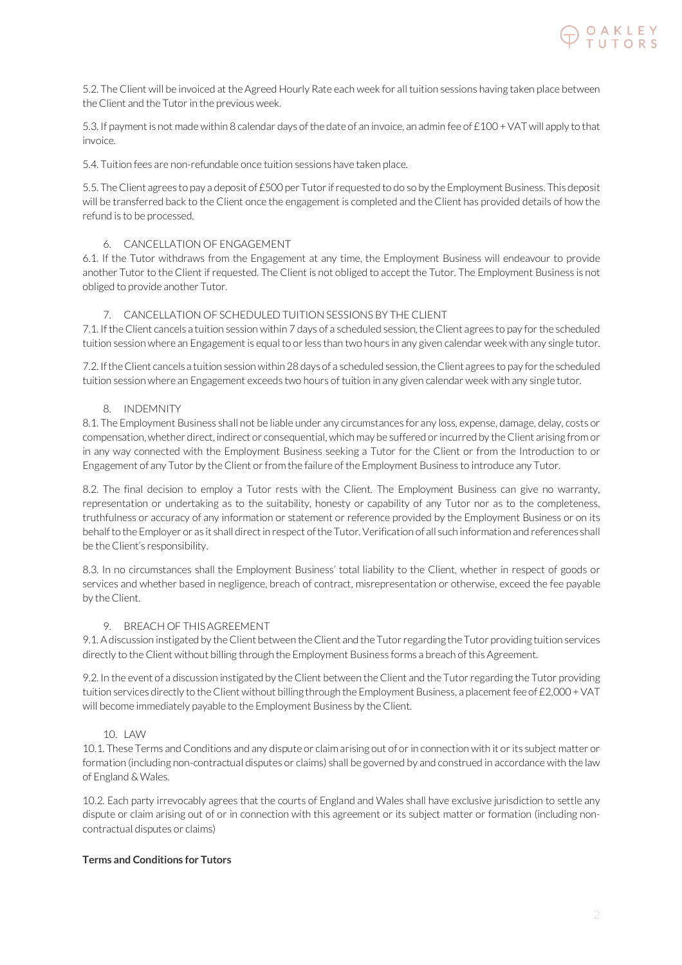

5.2. The Client will be invoiced at the Agreed Hourly Rate each week for all tuition sessions having taken place between the Client and the Tutor in the previous week.

5.3. If payment is not made within 8 calendar days of the date of an invoice, an admin fee of £100 + VAT will apply to that invoice.

5.4. Tuition fees are non-refundable once tuition sessions have taken place.

5.5. The Client agrees to pay a deposit of £500 per Tutor if requested to do so by the Employment Business. This deposit will be transferred back to the Client once the engagement is completed and the Client has provided details of how the refund is to be processed.

#### 6. CANCELLATION OF ENGAGEMENT

6.1. If the Tutor withdraws from the Engagement at any time, the Employment Business will endeavour to provide another Tutor to the Client if requested. The Client is not obliged to accept the Tutor. The Employment Business is not obliged to provide another Tutor.

## 7. CANCELLATION OF SCHEDULED TUITION SESSIONS BY THE CLIENT

7.1. If the Client cancels a tuition session within 7 days of a scheduled session, the Client agrees to pay for the scheduled tuition session where an Engagement is equal to or less than two hours in any given calendar week with any single tutor.

7.2. If the Client cancels a tuition session within 28 days of a scheduled session, the Client agrees to pay for the scheduled tuition session where an Engagement exceeds two hours of tuition in any given calendar week with any single tutor.

#### 8. INDEMNITY

8.1. The Employment Business shall not be liable under any circumstances for any loss, expense, damage, delay, costs or compensation, whether direct, indirect or consequential, which may be suffered or incurred by the Client arising from or in any way connected with the Employment Business seeking a Tutor for the Client or from the Introduction to or Engagement of any Tutor by the Client or from the failure of the Employment Business to introduce any Tutor.

8.2. The final decision to employ a Tutor rests with the Client. The Employment Business can give no warranty, representation or undertaking as to the suitability, honesty or capability of any Tutor nor as to the completeness, truthfulness or accuracy of any information or statement or reference provided by the Employment Business or on its behalf to the Employer or as it shall direct in respect of the Tutor. Verification of all such information and references shall be the Client's responsibility.

8.3. In no circumstances shall the Employment Business' total liability to the Client, whether in respect of goods or services and whether based in negligence, breach of contract, misrepresentation or otherwise, exceed the fee payable by the Client.

#### 9. BREACH OF THIS AGREEMENT

9.1. A discussion instigated by the Client between the Client and the Tutor regarding the Tutor providing tuition services directly to the Client without billing through the Employment Business forms a breach of this Agreement.

9.2. In the event of a discussion instigated by the Client between the Client and the Tutor regarding the Tutor providing tuition services directly to the Client without billing through the Employment Business, a placement fee of £2,000 + VAT will become immediately payable to the Employment Business by the Client.

#### 10. LAW

10.1. These Terms and Conditions and any dispute or claim arising out of or in connection with it or its subject matter or formation (including non-contractual disputes or claims) shall be governed by and construed in accordance with the law of England & Wales.

10.2. Each party irrevocably agrees that the courts of England and Wales shall have exclusive jurisdiction to settle any dispute or claim arising out of or in connection with this agreement or its subject matter or formation (including noncontractual disputes or claims)

## **Terms and Conditions for Tutors**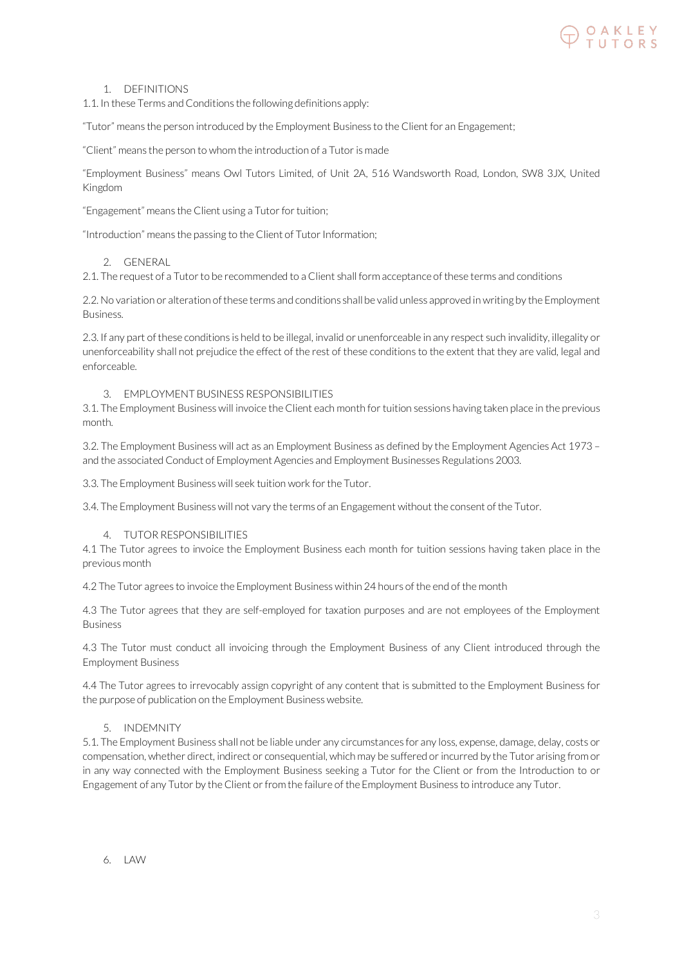# O A K L E Y<br>T U T O R S

#### 1. DEFINITIONS

1.1. In these Terms and Conditions the following definitions apply:

"Tutor" means the person introduced by the Employment Business to the Client for an Engagement;

"Client" means the person to whom the introduction of a Tutor is made

"Employment Business" means Owl Tutors Limited, of Unit 2A, 516 Wandsworth Road, London, SW8 3JX, United Kingdom

"Engagement" means the Client using a Tutor for tuition;

"Introduction" means the passing to the Client of Tutor Information;

#### 2. GENERAL

2.1. The request of a Tutor to be recommended to a Client shall form acceptance of these terms and conditions

2.2. No variation or alteration of these terms and conditions shall be valid unless approved in writing by the Employment Business.

2.3. If any part of these conditions is held to be illegal, invalid or unenforceable in any respect such invalidity, illegality or unenforceability shall not prejudice the effect of the rest of these conditions to the extent that they are valid, legal and enforceable.

#### 3. EMPLOYMENT BUSINESS RESPONSIBILITIES

3.1. The Employment Business will invoice the Client each month for tuition sessions having taken place in the previous month.

3.2. The Employment Business will act as an Employment Business as defined by the Employment Agencies Act 1973 – and the associated Conduct of Employment Agencies and Employment Businesses Regulations 2003.

3.3. The Employment Business will seek tuition work for the Tutor.

3.4. The Employment Business will not vary the terms of an Engagement without the consent of the Tutor.

## 4. TUTOR RESPONSIBILITIES

4.1 The Tutor agrees to invoice the Employment Business each month for tuition sessions having taken place in the previous month

4.2 The Tutor agrees to invoice the Employment Business within 24 hours of the end of the month

4.3 The Tutor agrees that they are self-employed for taxation purposes and are not employees of the Employment Business

4.3 The Tutor must conduct all invoicing through the Employment Business of any Client introduced through the Employment Business

4.4 The Tutor agrees to irrevocably assign copyright of any content that is submitted to the Employment Business for the purpose of publication on the Employment Business website.

#### 5. INDEMNITY

5.1. The Employment Business shall not be liable under any circumstances for any loss, expense, damage, delay, costs or compensation, whether direct, indirect or consequential, which may be suffered or incurred by the Tutor arising from or in any way connected with the Employment Business seeking a Tutor for the Client or from the Introduction to or Engagement of any Tutor by the Client or from the failure of the Employment Business to introduce any Tutor.